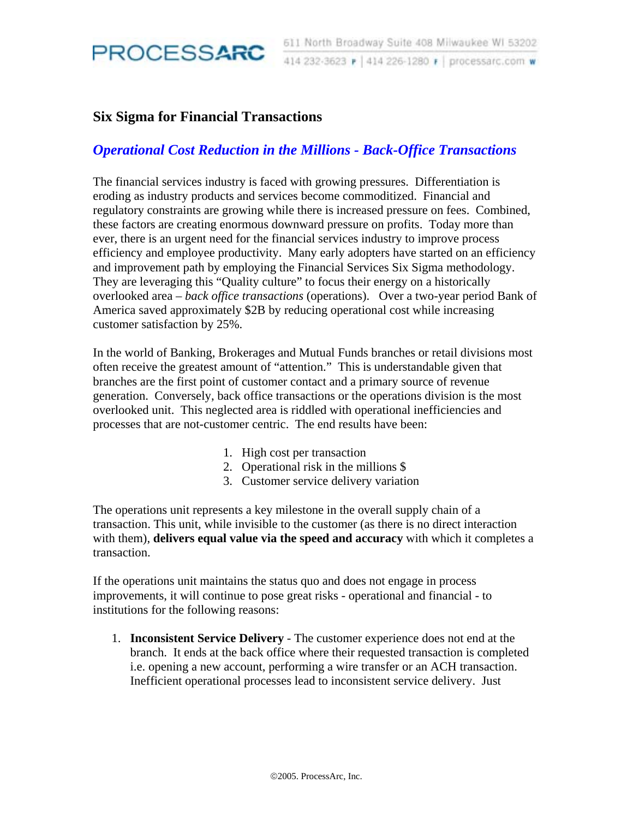

## **Six Sigma for Financial Transactions**

## *Operational Cost Reduction in the Millions - Back-Office Transactions*

The financial services industry is faced with growing pressures. Differentiation is eroding as industry products and services become commoditized. Financial and regulatory constraints are growing while there is increased pressure on fees. Combined, these factors are creating enormous downward pressure on profits. Today more than ever, there is an urgent need for the financial services industry to improve process efficiency and employee productivity. Many early adopters have started on an efficiency and improvement path by employing the Financial Services Six Sigma methodology. They are leveraging this "Quality culture" to focus their energy on a historically overlooked area – *back office transactions* (operations). Over a two-year period Bank of America saved approximately \$2B by reducing operational cost while increasing customer satisfaction by 25%.

In the world of Banking, Brokerages and Mutual Funds branches or retail divisions most often receive the greatest amount of "attention." This is understandable given that branches are the first point of customer contact and a primary source of revenue generation. Conversely, back office transactions or the operations division is the most overlooked unit. This neglected area is riddled with operational inefficiencies and processes that are not-customer centric. The end results have been:

- 1. High cost per transaction
- 2. Operational risk in the millions \$
- 3. Customer service delivery variation

The operations unit represents a key milestone in the overall supply chain of a transaction. This unit, while invisible to the customer (as there is no direct interaction with them), **delivers equal value via the speed and accuracy** with which it completes a transaction.

If the operations unit maintains the status quo and does not engage in process improvements, it will continue to pose great risks - operational and financial - to institutions for the following reasons:

1. **Inconsistent Service Delivery** - The customer experience does not end at the branch. It ends at the back office where their requested transaction is completed i.e. opening a new account, performing a wire transfer or an ACH transaction. Inefficient operational processes lead to inconsistent service delivery. Just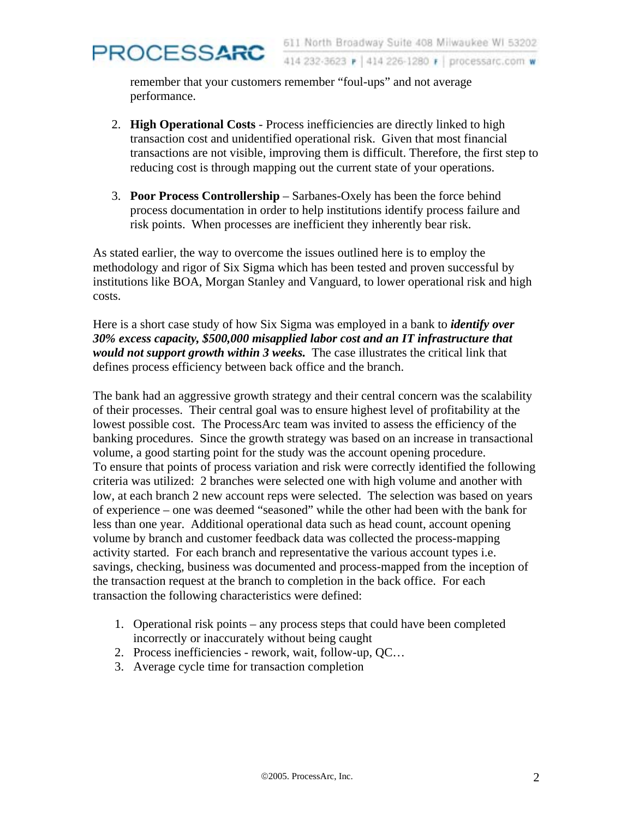414 232-3623 P 414 226-1280 F processarc.com w

remember that your customers remember "foul-ups" and not average performance.

PROCESSARC

- 2. **High Operational Costs** Process inefficiencies are directly linked to high transaction cost and unidentified operational risk. Given that most financial transactions are not visible, improving them is difficult. Therefore, the first step to reducing cost is through mapping out the current state of your operations.
- 3. **Poor Process Controllership**  Sarbanes-Oxely has been the force behind process documentation in order to help institutions identify process failure and risk points. When processes are inefficient they inherently bear risk.

As stated earlier, the way to overcome the issues outlined here is to employ the methodology and rigor of Six Sigma which has been tested and proven successful by institutions like BOA, Morgan Stanley and Vanguard, to lower operational risk and high costs.

Here is a short case study of how Six Sigma was employed in a bank to *identify over 30% excess capacity, \$500,000 misapplied labor cost and an IT infrastructure that would not support growth within 3 weeks.* The case illustrates the critical link that defines process efficiency between back office and the branch.

The bank had an aggressive growth strategy and their central concern was the scalability of their processes. Their central goal was to ensure highest level of profitability at the lowest possible cost. The ProcessArc team was invited to assess the efficiency of the banking procedures. Since the growth strategy was based on an increase in transactional volume, a good starting point for the study was the account opening procedure. To ensure that points of process variation and risk were correctly identified the following criteria was utilized: 2 branches were selected one with high volume and another with low, at each branch 2 new account reps were selected. The selection was based on years of experience – one was deemed "seasoned" while the other had been with the bank for less than one year. Additional operational data such as head count, account opening volume by branch and customer feedback data was collected the process-mapping activity started. For each branch and representative the various account types i.e. savings, checking, business was documented and process-mapped from the inception of the transaction request at the branch to completion in the back office. For each transaction the following characteristics were defined:

- 1. Operational risk points any process steps that could have been completed incorrectly or inaccurately without being caught
- 2. Process inefficiencies rework, wait, follow-up, QC…
- 3. Average cycle time for transaction completion